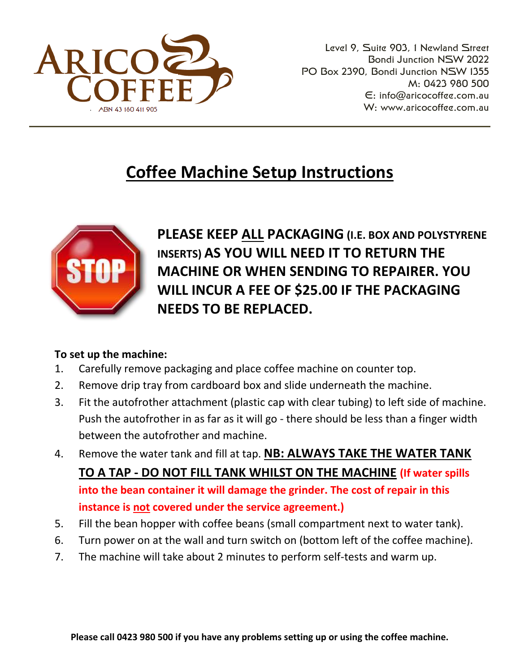

Level 9, Suite 903, 1 Newland Street Bondi Junction NSW 2022 PO Box 2390, Bondi Junction NSW 1355 M: 0423 980 500 E: [info@aricocoffee.com.au](mailto:info@aricocoffee.com.au) W: [www.aricocoffee.com.au](http://www.aricocoffee.com.au/) 

## **Coffee Machine Setup Instructions**



**PLEASE KEEP ALL PACKAGING (I.E. BOX AND POLYSTYRENE INSERTS) AS YOU WILL NEED IT TO RETURN THE MACHINE OR WHEN SENDING TO REPAIRER. YOU WILL INCUR A FEE OF \$25.00 IF THE PACKAGING NEEDS TO BE REPLACED.**

#### **To set up the machine:**

- 1. Carefully remove packaging and place coffee machine on counter top.
- 2. Remove drip tray from cardboard box and slide underneath the machine.
- 3. Fit the autofrother attachment (plastic cap with clear tubing) to left side of machine. Push the autofrother in as far as it will go - there should be less than a finger width between the autofrother and machine.
- 4. Remove the water tank and fill at tap. **NB: ALWAYS TAKE THE WATER TANK TO A TAP - DO NOT FILL TANK WHILST ON THE MACHINE (If water spills into the bean container it will damage the grinder. The cost of repair in this instance is not covered under the service agreement.)**
- 5. Fill the bean hopper with coffee beans (small compartment next to water tank).
- 6. Turn power on at the wall and turn switch on (bottom left of the coffee machine).
- 7. The machine will take about 2 minutes to perform self-tests and warm up.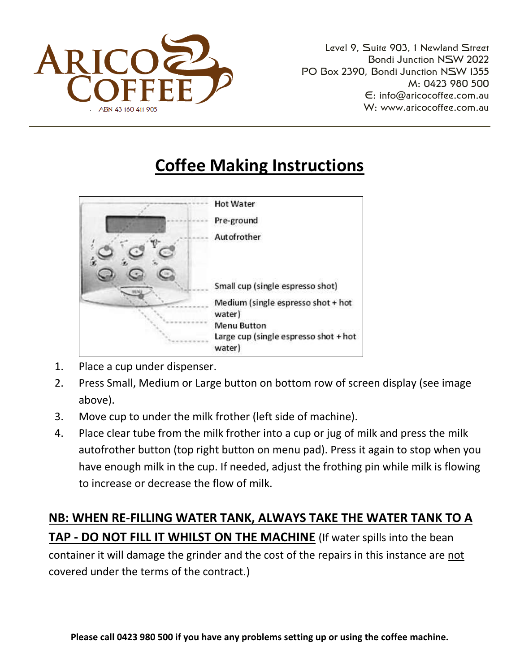

Level 9, Suite 903, 1 Newland Street Bondi Junction NSW 2022 PO Box 2390, Bondi Junction NSW 1355 M: 0423 980 500 E: [info@aricocoffee.com.au](mailto:info@aricocoffee.com.au) W: [www.aricocoffee.com.au](http://www.aricocoffee.com.au/) 

# **Coffee Making Instructions**



- 1. Place a cup under dispenser.
- 2. Press Small, Medium or Large button on bottom row of screen display (see image above).
- 3. Move cup to under the milk frother (left side of machine).
- 4. Place clear tube from the milk frother into a cup or jug of milk and press the milk autofrother button (top right button on menu pad). Press it again to stop when you have enough milk in the cup. If needed, adjust the frothing pin while milk is flowing to increase or decrease the flow of milk.

**NB: WHEN RE-FILLING WATER TANK, ALWAYS TAKE THE WATER TANK TO A TAP - DO NOT FILL IT WHILST ON THE MACHINE** (If water spills into the bean container it will damage the grinder and the cost of the repairs in this instance are not covered under the terms of the contract.)